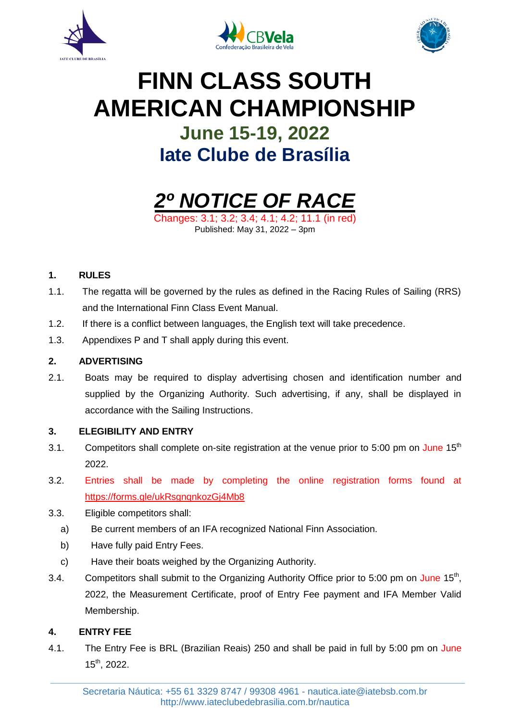





# **FINN CLASS SOUTH AMERICAN CHAMPIONSHIP June 15-19, 2022 Iate Clube de Brasília**



Changes: 3.1; 3.2; 3.4; 4.1; 4.2; 11.1 (in red) Published: May 31, 2022 – 3pm

## **1. RULES**

- 1.1. The regatta will be governed by the rules as defined in the Racing Rules of Sailing (RRS) and the International Finn Class Event Manual.
- 1.2. If there is a conflict between languages, the English text will take precedence.
- 1.3. Appendixes P and T shall apply during this event.

## **2. ADVERTISING**

2.1. Boats may be required to display advertising chosen and identification number and supplied by the Organizing Authority. Such advertising, if any, shall be displayed in accordance with the Sailing Instructions.

### **3. ELEGIBILITY AND ENTRY**

- 3.1. Competitors shall complete on-site registration at the venue prior to 5:00 pm on June  $15<sup>th</sup>$ 2022.
- 3.2. Entries shall be made by completing the online registration forms found at <https://forms.gle/ukRsgnqnkozGj4Mb8>
- 3.3. Eligible competitors shall:
	- a) Be current members of an IFA recognized National Finn Association.
	- b) Have fully paid Entry Fees.
	- c) Have their boats weighed by the Organizing Authority.
- 3.4. Competitors shall submit to the Organizing Authority Office prior to 5:00 pm on June 15<sup>th</sup>, 2022, the Measurement Certificate, proof of Entry Fee payment and IFA Member Valid Membership.

### **4. ENTRY FEE**

4.1. The Entry Fee is BRL (Brazilian Reais) 250 and shall be paid in full by 5:00 pm on June 15th, 2022.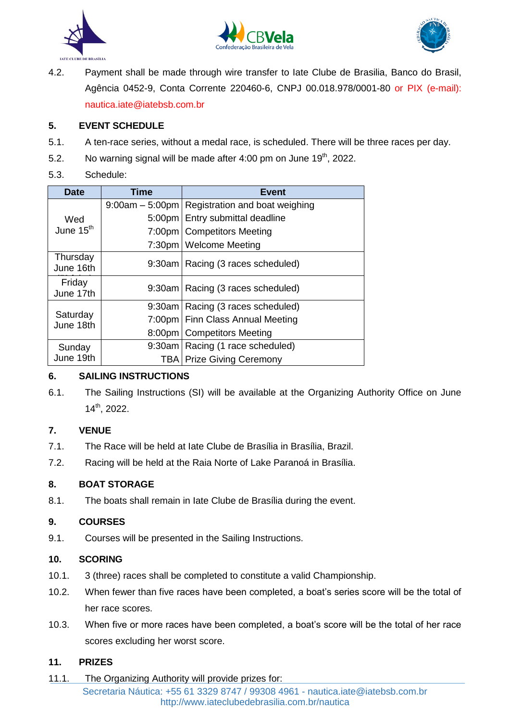





4.2. Payment shall be made through wire transfer to Iate Clube de Brasilia, Banco do Brasil, Agência 0452-9, Conta Corrente 220460-6, CNPJ 00.018.978/0001-80 or PIX (e-mail): [nautica.iate@iatebsb.com.br](mailto:nautica.iate@iatebsb.com.br)

## **5. EVENT SCHEDULE**

- 5.1. A ten-race series, without a medal race, is scheduled. There will be three races per day.
- 5.2. No warning signal will be made after  $4:00$  pm on June  $19<sup>th</sup>$ , 2022.
- 5.3. Schedule:

| <b>Date</b>                  | Time | <b>Event</b>                                     |
|------------------------------|------|--------------------------------------------------|
| Wed<br>June 15 <sup>th</sup> |      | 9:00am – 5:00pm   Registration and boat weighing |
|                              |      | 5:00pm   Entry submittal deadline                |
|                              |      | 7:00pm   Competitors Meeting                     |
|                              |      | 7:30pm   Welcome Meeting                         |
| Thursday<br>June 16th        |      | 9:30am   Racing (3 races scheduled)              |
| Friday<br>June 17th          |      | 9:30am   Racing (3 races scheduled)              |
| Saturday<br>June 18th        |      | 9:30am   Racing (3 races scheduled)              |
|                              |      | 7:00pm   Finn Class Annual Meeting               |
|                              |      | 8:00pm   Competitors Meeting                     |
| Sunday<br>June 19th          |      | 9:30am   Racing (1 race scheduled)               |
|                              |      | <b>TBA   Prize Giving Ceremony</b>               |

### **6. SAILING INSTRUCTIONS**

6.1. The Sailing Instructions (SI) will be available at the Organizing Authority Office on June 14th, 2022.

## **7. VENUE**

- 7.1. The Race will be held at Iate Clube de Brasília in Brasília, Brazil.
- 7.2. Racing will be held at the Raia Norte of Lake Paranoá in Brasília.

## **8. BOAT STORAGE**

8.1. The boats shall remain in Iate Clube de Brasília during the event.

## **9. COURSES**

9.1. Courses will be presented in the Sailing Instructions.

### **10. SCORING**

- 10.1. 3 (three) races shall be completed to constitute a valid Championship.
- 10.2. When fewer than five races have been completed, a boat's series score will be the total of her race scores.
- 10.3. When five or more races have been completed, a boat's score will be the total of her race scores excluding her worst score.

## **11. PRIZES**

Secretaria Náutica: +55 61 3329 8747 / 99308 4961 - nautica.iate@iatebsb.com.br http://www.iateclubedebrasilia.com.br/nautica 11.1. The Organizing Authority will provide prizes for: